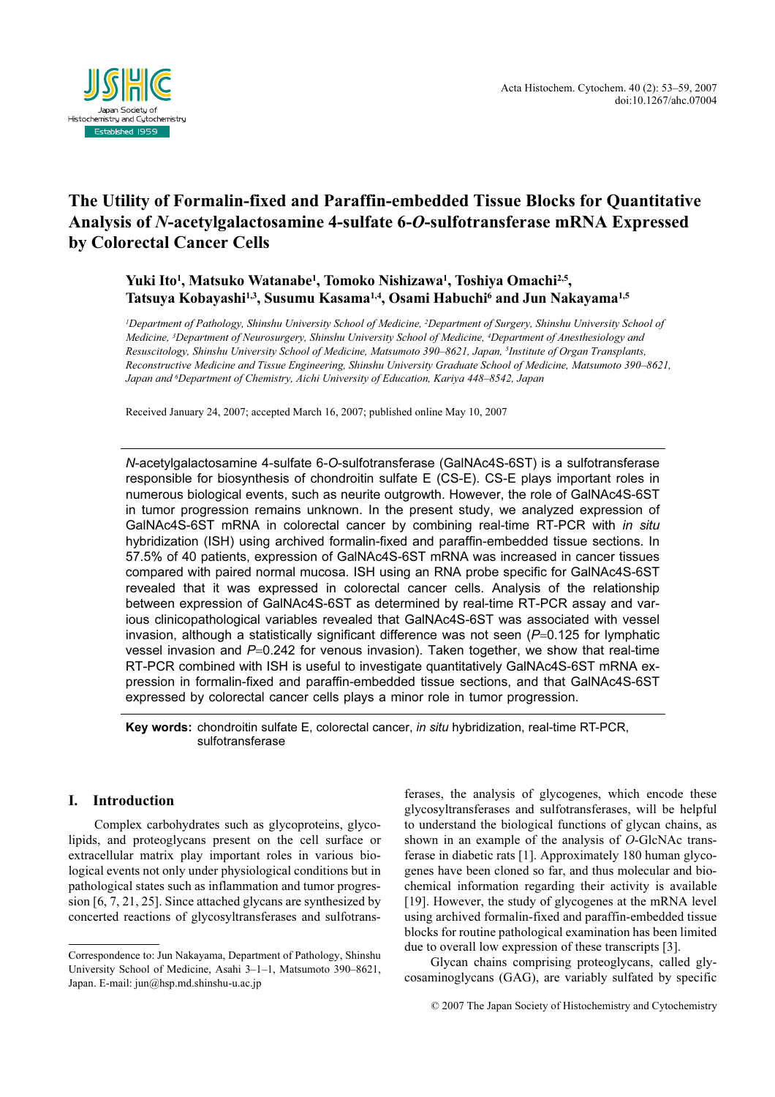

# The Utility of Formalin-fixed and Paraffin-embedded Tissue Blocks for Quantitative Analysis of N-acetylgalactosamine 4-sulfate 6-O-sulfotransferase mRNA Expressed by Colorectal Cancer Cells

## Yuki Ito<sup>1</sup>, Matsuko Watanabe<sup>1</sup>, Tomoko Nishizawa<sup>1</sup>, Toshiya Omachi<sup>2,5</sup>, Tatsuya Kobayashi<sup>1,3</sup>, Susumu Kasama<sup>1,4</sup>, Osami Habuchi<sup>6</sup> and Jun Nakayama<sup>1,5</sup>

<sup>1</sup>Department of Pathology, Shinshu University School of Medicine, <sup>2</sup>Department of Surgery, Shinshu University School of Medicine, <sup>3</sup>Department of Neurosurgery, Shinshu University School of Medicine, <sup>4</sup>Department of Anesthesiology and Resuscitology, Shinshu University School of Medicine, Matsumoto 390-8621, Japan, <sup>5</sup>Institute of Organ Transplants, Reconstructive Medicine and Tissue Engineering, Shinshu University Graduate School of Medicine, Matsumoto 390–8621, Japan and <sup>6</sup> Department of Chemistry, Aichi University of Education, Kariya 448–8542, Japan

Received January 24, 2007; accepted March 16, 2007; published online May 10, 2007

N-acetylgalactosamine 4-sulfate 6-O-sulfotransferase (GalNAc4S-6ST) is a sulfotransferase responsible for biosynthesis of chondroitin sulfate E (CS-E). CS-E plays important roles in numerous biological events, such as neurite outgrowth. However, the role of GalNAc4S-6ST in tumor progression remains unknown. In the present study, we analyzed expression of GalNAc4S-6ST mRNA in colorectal cancer by combining real-time RT-PCR with in situ hybridization (ISH) using archived formalin-fixed and paraffin-embedded tissue sections. In 57.5% of 40 patients, expression of GalNAc4S-6ST mRNA was increased in cancer tissues compared with paired normal mucosa. ISH using an RNA probe specific for GalNAc4S-6ST revealed that it was expressed in colorectal cancer cells. Analysis of the relationship between expression of GalNAc4S-6ST as determined by real-time RT-PCR assay and various clinicopathological variables revealed that GalNAc4S-6ST was associated with vessel invasion, although a statistically significant difference was not seen  $(P=0.125$  for lymphatic vessel invasion and  $P=0.242$  for venous invasion). Taken together, we show that real-time RT-PCR combined with ISH is useful to investigate quantitatively GalNAc4S-6ST mRNA expression in formalin-fixed and paraffin-embedded tissue sections, and that GalNAc4S-6ST expressed by colorectal cancer cells plays a minor role in tumor progression.

Key words: chondroitin sulfate E, colorectal cancer, in situ hybridization, real-time RT-PCR, sulfotransferase

## I. Introduction

Complex carbohydrates such as glycoproteins, glycolipids, and proteoglycans present on the cell surface or extracellular matrix play important roles in various biological events not only under physiological conditions but in pathological states such as inflammation and tumor progression [6, 7, 21, 25]. Since attached glycans are synthesized by concerted reactions of glycosyltransferases and sulfotrans-

ferases, the analysis of glycogenes, which encode these glycosyltransferases and sulfotransferases, will be helpful to understand the biological functions of glycan chains, as shown in an example of the analysis of O-GlcNAc transferase in diabetic rats [1]. Approximately 180 human glycogenes have been cloned so far, and thus molecular and biochemical information regarding their activity is available [19]. However, the study of glycogenes at the mRNA level using archived formalin-fixed and paraffin-embedded tissue blocks for routine pathological examination has been limited due to overall low expression of these transcripts [3].

Glycan chains comprising proteoglycans, called glycosaminoglycans (GAG), are variably sulfated by specific

© 2007 The Japan Society of Histochemistry and Cytochemistry

Correspondence to: Jun Nakayama, Department of Pathology, Shinshu University School of Medicine, Asahi 3–1–1, Matsumoto 390–8621, Japan. E-mail: jun@hsp.md.shinshu-u.ac.jp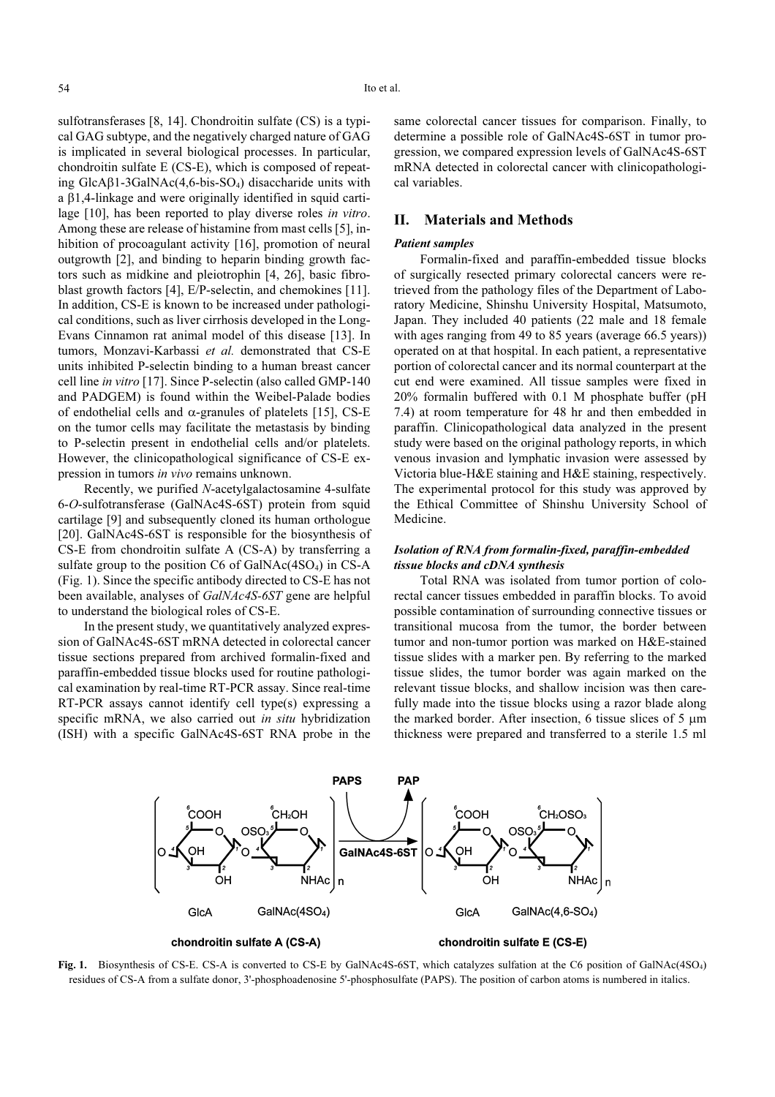sulfotransferases [8, 14]. Chondroitin sulfate (CS) is a typical GAG subtype, and the negatively charged nature of GAG is implicated in several biological processes. In particular, chondroitin sulfate E (CS-E), which is composed of repeating GlcAβ1-3GalNAc(4,6-bis-SO4) disaccharide units with a β1,4-linkage and were originally identified in squid cartilage [10], has been reported to play diverse roles in vitro. Among these are release of histamine from mast cells [5], inhibition of procoagulant activity [16], promotion of neural outgrowth [2], and binding to heparin binding growth factors such as midkine and pleiotrophin [4, 26], basic fibroblast growth factors [4], E/P-selectin, and chemokines [11]. In addition, CS-E is known to be increased under pathological conditions, such as liver cirrhosis developed in the Long-Evans Cinnamon rat animal model of this disease [13]. In tumors, Monzavi-Karbassi et al. demonstrated that CS-E units inhibited P-selectin binding to a human breast cancer cell line in vitro [17]. Since P-selectin (also called GMP-140 and PADGEM) is found within the Weibel-Palade bodies of endothelial cells and  $\alpha$ -granules of platelets [15], CS-E on the tumor cells may facilitate the metastasis by binding to P-selectin present in endothelial cells and/or platelets. However, the clinicopathological significance of CS-E expression in tumors in vivo remains unknown.

Recently, we purified N-acetylgalactosamine 4-sulfate 6-O-sulfotransferase (GalNAc4S-6ST) protein from squid cartilage [9] and subsequently cloned its human orthologue [20]. GalNAc4S-6ST is responsible for the biosynthesis of CS-E from chondroitin sulfate A (CS-A) by transferring a sulfate group to the position  $C6$  of  $GalNAc(4SO_4)$  in  $CS-A$ (Fig. 1). Since the specific antibody directed to CS-E has not been available, analyses of GalNAc4S-6ST gene are helpful to understand the biological roles of CS-E.

In the present study, we quantitatively analyzed expression of GalNAc4S-6ST mRNA detected in colorectal cancer tissue sections prepared from archived formalin-fixed and paraffin-embedded tissue blocks used for routine pathological examination by real-time RT-PCR assay. Since real-time RT-PCR assays cannot identify cell type(s) expressing a specific mRNA, we also carried out in situ hybridization (ISH) with a specific GalNAc4S-6ST RNA probe in the same colorectal cancer tissues for comparison. Finally, to determine a possible role of GalNAc4S-6ST in tumor progression, we compared expression levels of GalNAc4S-6ST mRNA detected in colorectal cancer with clinicopathological variables.

## II. Materials and Methods

#### Patient samples

Formalin-fixed and paraffin-embedded tissue blocks of surgically resected primary colorectal cancers were retrieved from the pathology files of the Department of Laboratory Medicine, Shinshu University Hospital, Matsumoto, Japan. They included 40 patients (22 male and 18 female with ages ranging from 49 to 85 years (average 66.5 years)) operated on at that hospital. In each patient, a representative portion of colorectal cancer and its normal counterpart at the cut end were examined. All tissue samples were fixed in 20% formalin buffered with 0.1 M phosphate buffer (pH 7.4) at room temperature for 48 hr and then embedded in paraffin. Clinicopathological data analyzed in the present study were based on the original pathology reports, in which venous invasion and lymphatic invasion were assessed by Victoria blue-H&E staining and H&E staining, respectively. The experimental protocol for this study was approved by the Ethical Committee of Shinshu University School of Medicine.

## Isolation of RNA from formalin-fixed, paraffin-embedded tissue blocks and cDNA synthesis

Total RNA was isolated from tumor portion of colorectal cancer tissues embedded in paraffin blocks. To avoid possible contamination of surrounding connective tissues or transitional mucosa from the tumor, the border between tumor and non-tumor portion was marked on H&E-stained tissue slides with a marker pen. By referring to the marked tissue slides, the tumor border was again marked on the relevant tissue blocks, and shallow incision was then carefully made into the tissue blocks using a razor blade along the marked border. After insection, 6 tissue slices of 5 µm thickness were prepared and transferred to a sterile 1.5 ml



Fig. 1. Biosynthesis of CS-E. CS-A is converted to CS-E by GalNAc4S-6ST, which catalyzes sulfation at the C6 position of GalNAc(4SO4) residues of CS-A from a sulfate donor, 3'-phosphoadenosine 5'-phosphosulfate (PAPS). The position of carbon atoms is numbered in italics.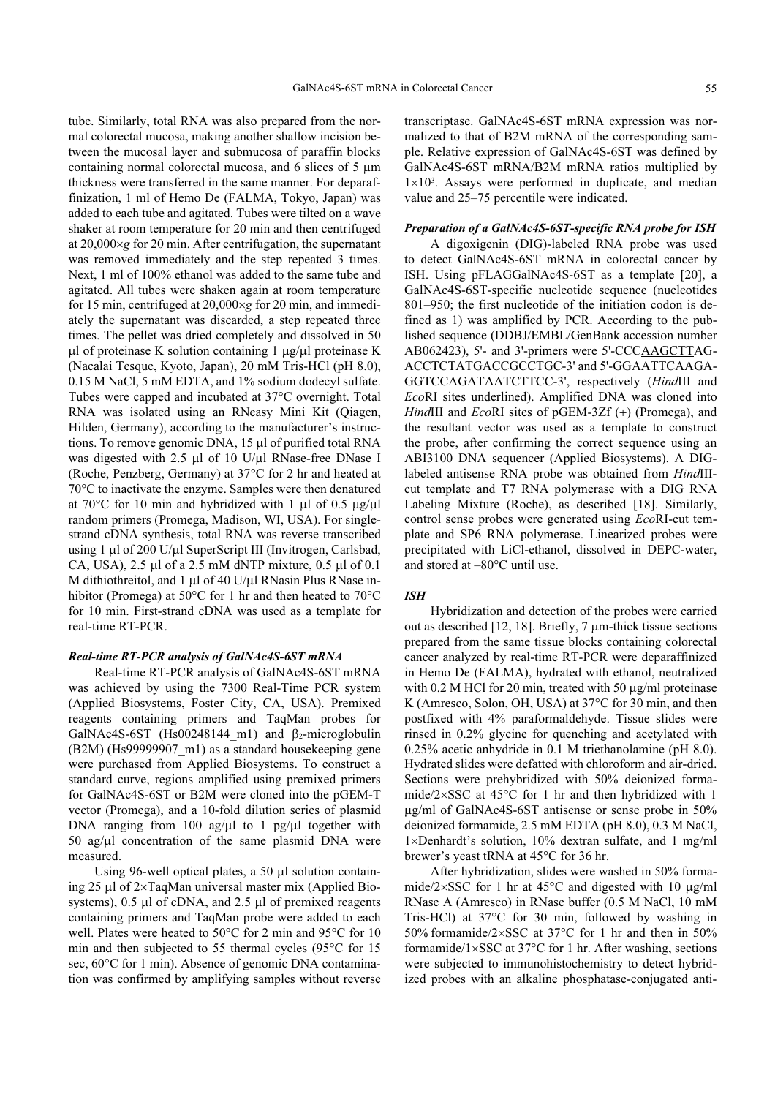tube. Similarly, total RNA was also prepared from the normal colorectal mucosa, making another shallow incision between the mucosal layer and submucosa of paraffin blocks containing normal colorectal mucosa, and 6 slices of 5 µm thickness were transferred in the same manner. For deparaffinization, 1 ml of Hemo De (FALMA, Tokyo, Japan) was added to each tube and agitated. Tubes were tilted on a wave shaker at room temperature for 20 min and then centrifuged at 20,000×g for 20 min. After centrifugation, the supernatant was removed immediately and the step repeated 3 times. Next, 1 ml of 100% ethanol was added to the same tube and agitated. All tubes were shaken again at room temperature for 15 min, centrifuged at 20,000×g for 20 min, and immediately the supernatant was discarded, a step repeated three times. The pellet was dried completely and dissolved in 50 ul of proteinase K solution containing 1  $\mu$ g/ $\mu$ l proteinase K (Nacalai Tesque, Kyoto, Japan), 20 mM Tris-HCl (pH 8.0), 0.15 M NaCl, 5 mM EDTA, and 1% sodium dodecyl sulfate. Tubes were capped and incubated at 37°C overnight. Total RNA was isolated using an RNeasy Mini Kit (Qiagen, Hilden, Germany), according to the manufacturer's instructions. To remove genomic DNA, 15 µl of purified total RNA was digested with 2.5 µl of 10 U/µl RNase-free DNase I (Roche, Penzberg, Germany) at 37°C for 2 hr and heated at 70°C to inactivate the enzyme. Samples were then denatured at 70 $^{\circ}$ C for 10 min and hybridized with 1 µl of 0.5 µg/µl random primers (Promega, Madison, WI, USA). For singlestrand cDNA synthesis, total RNA was reverse transcribed using 1 µl of 200 U/µl SuperScript III (Invitrogen, Carlsbad, CA, USA), 2.5 µl of a 2.5 mM dNTP mixture, 0.5 µl of 0.1 M dithiothreitol, and 1  $\mu$ l of 40 U/ $\mu$ l RNasin Plus RNase inhibitor (Promega) at 50°C for 1 hr and then heated to 70°C for 10 min. First-strand cDNA was used as a template for real-time RT-PCR.

#### Real-time RT-PCR analysis of GalNAc4S-6ST mRNA

Real-time RT-PCR analysis of GalNAc4S-6ST mRNA was achieved by using the 7300 Real-Time PCR system (Applied Biosystems, Foster City, CA, USA). Premixed reagents containing primers and TaqMan probes for GalNAc4S-6ST (Hs00248144 m1) and  $\beta_2$ -microglobulin (B2M) (Hs99999907\_m1) as a standard housekeeping gene were purchased from Applied Biosystems. To construct a standard curve, regions amplified using premixed primers for GalNAc4S-6ST or B2M were cloned into the pGEM-T vector (Promega), and a 10-fold dilution series of plasmid DNA ranging from 100 ag/ $\mu$ l to 1 pg/ $\mu$ l together with 50 ag/ $\mu$ l concentration of the same plasmid DNA were measured.

Using 96-well optical plates, a 50 µl solution containing 25 µl of 2×TaqMan universal master mix (Applied Biosystems),  $0.5 \mu l$  of cDNA, and  $2.5 \mu l$  of premixed reagents containing primers and TaqMan probe were added to each well. Plates were heated to 50°C for 2 min and 95°C for 10 min and then subjected to 55 thermal cycles (95°C for 15 sec,  $60^{\circ}$ C for 1 min). Absence of genomic DNA contamination was confirmed by amplifying samples without reverse transcriptase. GalNAc4S-6ST mRNA expression was normalized to that of B2M mRNA of the corresponding sample. Relative expression of GalNAc4S-6ST was defined by GalNAc4S-6ST mRNA/B2M mRNA ratios multiplied by 1×10<sup>3</sup> . Assays were performed in duplicate, and median value and 25–75 percentile were indicated.

#### Preparation of a GalNAc4S-6ST-specific RNA probe for ISH

A digoxigenin (DIG)-labeled RNA probe was used to detect GalNAc4S-6ST mRNA in colorectal cancer by ISH. Using pFLAGGalNAc4S-6ST as a template [20], a GalNAc4S-6ST-specific nucleotide sequence (nucleotides 801–950; the first nucleotide of the initiation codon is defined as 1) was amplified by PCR. According to the published sequence (DDBJ/EMBL/GenBank accession number AB062423), 5'- and 3'-primers were 5'-CCCAAGCTTAG-ACCTCTATGACCGCCTGC-3' and 5'-GGAATTCAAGA-GGTCCAGATAATCTTCC-3', respectively (HindIII and EcoRI sites underlined). Amplified DNA was cloned into HindIII and EcoRI sites of pGEM-3Zf (+) (Promega), and the resultant vector was used as a template to construct the probe, after confirming the correct sequence using an ABI3100 DNA sequencer (Applied Biosystems). A DIGlabeled antisense RNA probe was obtained from HindIIIcut template and T7 RNA polymerase with a DIG RNA Labeling Mixture (Roche), as described [18]. Similarly, control sense probes were generated using EcoRI-cut template and SP6 RNA polymerase. Linearized probes were precipitated with LiCl-ethanol, dissolved in DEPC-water, and stored at –80°C until use.

#### ISH

Hybridization and detection of the probes were carried out as described [12, 18]. Briefly, 7 µm-thick tissue sections prepared from the same tissue blocks containing colorectal cancer analyzed by real-time RT-PCR were deparaffinized in Hemo De (FALMA), hydrated with ethanol, neutralized with 0.2 M HCl for 20 min, treated with 50  $\mu$ g/ml proteinase K (Amresco, Solon, OH, USA) at 37°C for 30 min, and then postfixed with 4% paraformaldehyde. Tissue slides were rinsed in 0.2% glycine for quenching and acetylated with 0.25% acetic anhydride in 0.1 M triethanolamine (pH 8.0). Hydrated slides were defatted with chloroform and air-dried. Sections were prehybridized with 50% deionized formamide/2×SSC at 45°C for 1 hr and then hybridized with 1 µg/ml of GalNAc4S-6ST antisense or sense probe in 50% deionized formamide, 2.5 mM EDTA (pH 8.0), 0.3 M NaCl, 1×Denhardt's solution, 10% dextran sulfate, and 1 mg/ml brewer's yeast tRNA at 45°C for 36 hr.

After hybridization, slides were washed in 50% formamide/2×SSC for 1 hr at  $45^{\circ}$ C and digested with 10  $\mu$ g/ml RNase A (Amresco) in RNase buffer (0.5 M NaCl, 10 mM Tris-HCl) at 37°C for 30 min, followed by washing in 50% formamide/2×SSC at 37°C for 1 hr and then in 50% formamide/1×SSC at 37°C for 1 hr. After washing, sections were subjected to immunohistochemistry to detect hybridized probes with an alkaline phosphatase-conjugated anti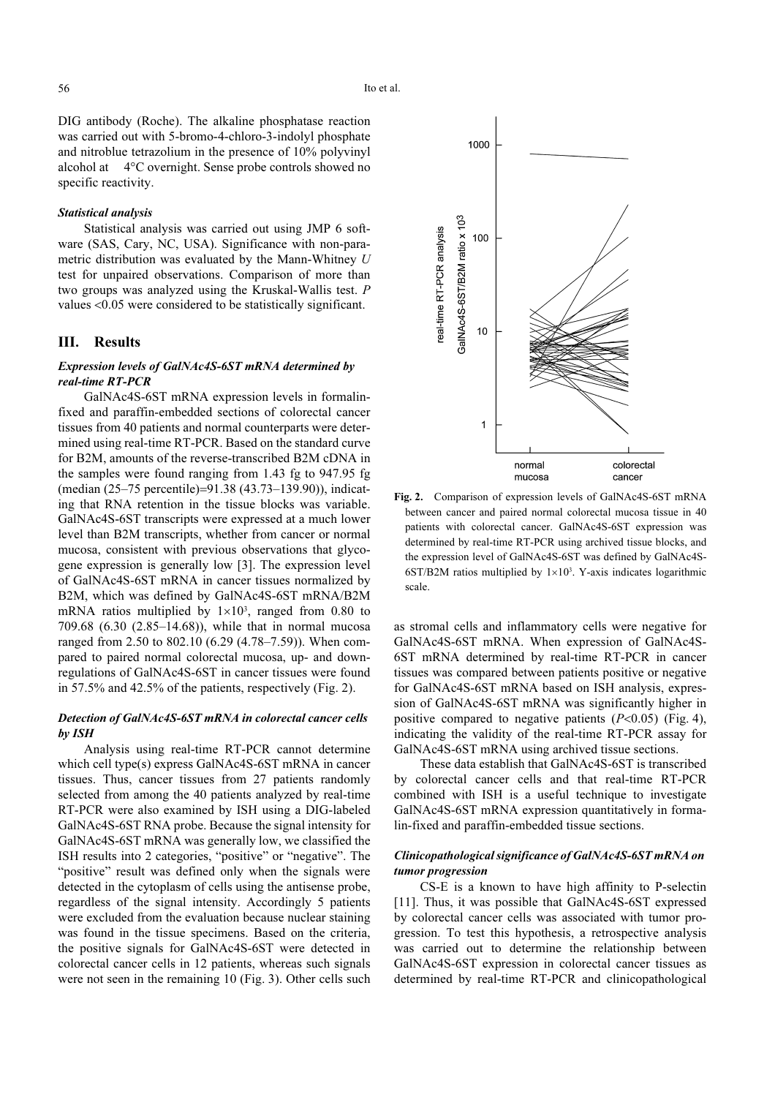DIG antibody (Roche). The alkaline phosphatase reaction was carried out with 5-bromo-4-chloro-3-indolyl phosphate and nitroblue tetrazolium in the presence of 10% polyvinyl alcohol at 4°C overnight. Sense probe controls showed no specific reactivity.

## Statistical analysis

Statistical analysis was carried out using JMP 6 software (SAS, Cary, NC, USA). Significance with non-parametric distribution was evaluated by the Mann-Whitney U test for unpaired observations. Comparison of more than two groups was analyzed using the Kruskal-Wallis test. P values <0.05 were considered to be statistically significant.

### III. Results

## Expression levels of GalNAc4S-6ST mRNA determined by real-time RT-PCR

GalNAc4S-6ST mRNA expression levels in formalinfixed and paraffin-embedded sections of colorectal cancer tissues from 40 patients and normal counterparts were determined using real-time RT-PCR. Based on the standard curve for B2M, amounts of the reverse-transcribed B2M cDNA in the samples were found ranging from 1.43 fg to 947.95 fg (median (25–75 percentile)=91.38 (43.73–139.90)), indicating that RNA retention in the tissue blocks was variable. GalNAc4S-6ST transcripts were expressed at a much lower level than B2M transcripts, whether from cancer or normal mucosa, consistent with previous observations that glycogene expression is generally low [3]. The expression level of GalNAc4S-6ST mRNA in cancer tissues normalized by B2M, which was defined by GalNAc4S-6ST mRNA/B2M mRNA ratios multiplied by  $1\times10^3$ , ranged from 0.80 to 709.68 (6.30 (2.85–14.68)), while that in normal mucosa ranged from 2.50 to 802.10 (6.29 (4.78–7.59)). When compared to paired normal colorectal mucosa, up- and downregulations of GalNAc4S-6ST in cancer tissues were found in 57.5% and 42.5% of the patients, respectively (Fig. 2).

## Detection of GalNAc4S-6ST mRNA in colorectal cancer cells by ISH

Analysis using real-time RT-PCR cannot determine which cell type(s) express GalNAc4S-6ST mRNA in cancer tissues. Thus, cancer tissues from 27 patients randomly selected from among the 40 patients analyzed by real-time RT-PCR were also examined by ISH using a DIG-labeled GalNAc4S-6ST RNA probe. Because the signal intensity for GalNAc4S-6ST mRNA was generally low, we classified the ISH results into 2 categories, "positive" or "negative". The "positive" result was defined only when the signals were detected in the cytoplasm of cells using the antisense probe, regardless of the signal intensity. Accordingly 5 patients were excluded from the evaluation because nuclear staining was found in the tissue specimens. Based on the criteria, the positive signals for GalNAc4S-6ST were detected in colorectal cancer cells in 12 patients, whereas such signals were not seen in the remaining 10 (Fig. 3). Other cells such



Fig. 2. Comparison of expression levels of GalNAc4S-6ST mRNA between cancer and paired normal colorectal mucosa tissue in 40 patients with colorectal cancer. GalNAc4S-6ST expression was determined by real-time RT-PCR using archived tissue blocks, and the expression level of GalNAc4S-6ST was defined by GalNAc4S- $6ST/B2M$  ratios multiplied by  $1\times10<sup>3</sup>$ . Y-axis indicates logarithmic scale.

as stromal cells and inflammatory cells were negative for GalNAc4S-6ST mRNA. When expression of GalNAc4S-6ST mRNA determined by real-time RT-PCR in cancer tissues was compared between patients positive or negative for GalNAc4S-6ST mRNA based on ISH analysis, expression of GalNAc4S-6ST mRNA was significantly higher in positive compared to negative patients  $(P<0.05)$  (Fig. 4), indicating the validity of the real-time RT-PCR assay for GalNAc4S-6ST mRNA using archived tissue sections.

These data establish that GalNAc4S-6ST is transcribed by colorectal cancer cells and that real-time RT-PCR combined with ISH is a useful technique to investigate GalNAc4S-6ST mRNA expression quantitatively in formalin-fixed and paraffin-embedded tissue sections.

### Clinicopathological significance of GalNAc4S-6ST mRNA on tumor progression

CS-E is a known to have high affinity to P-selectin [11]. Thus, it was possible that GalNAc4S-6ST expressed by colorectal cancer cells was associated with tumor progression. To test this hypothesis, a retrospective analysis was carried out to determine the relationship between GalNAc4S-6ST expression in colorectal cancer tissues as determined by real-time RT-PCR and clinicopathological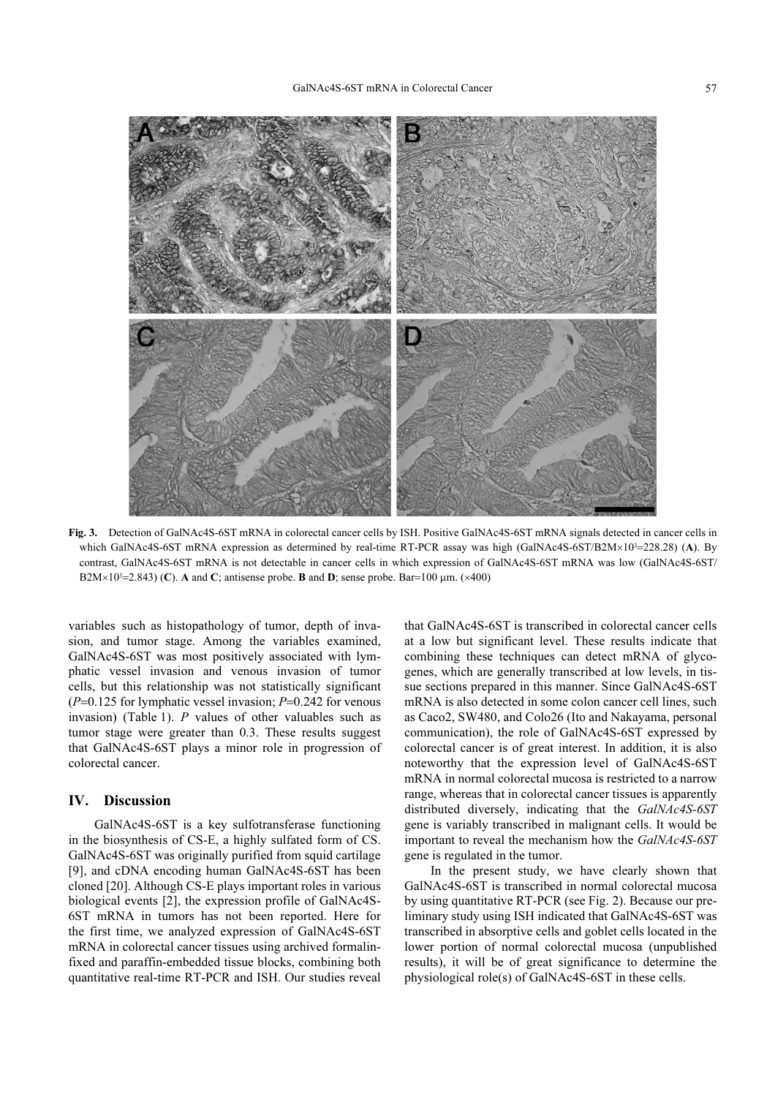

Fig. 3. Detection of GalNAc4S-6ST mRNA in colorectal cancer cells by ISH. Positive GalNAc4S-6ST mRNA signals detected in cancer cells in which GalNAc4S-6ST mRNA expression as determined by real-time RT-PCR assay was high (GalNAc4S-6ST/B2M×10<sup>3</sup>=228.28) (A). By<br>contract, GalNAc4S-6ST mPNA is not detectable in cancer calls in which expression of GalNAc4S-6ST contrast, GalNAc4S-6ST mRNA is not detectable in cancer cells in which expression of GalNAc4S-6ST mRNA was low (GalNAc4S-6ST/ B2M×10<sup>3</sup>=2.843) (C). A and C; antisense probe. **B** and **D**; sense probe. Bar=100  $\mu$ m. (×400)

variables such as histopathology of tumor, depth of invasion, and tumor stage. Among the variables examined, GalNAc4S-6ST was most positively associated with lymphatic vessel invasion and venous invasion of tumor cells, but this relationship was not statistically significant  $(P=0.125$  for lymphatic vessel invasion;  $P=0.242$  for venous invasion) (Table 1). P values of other valuables such as tumor stage were greater than 0.3. These results suggest that GalNAc4S-6ST plays a minor role in progression of colorectal cancer.

#### IV. Discussion

GalNAc4S-6ST is a key sulfotransferase functioning in the biosynthesis of CS-E, a highly sulfated form of CS. GalNAc4S-6ST was originally purified from squid cartilage [9], and cDNA encoding human GalNAc4S-6ST has been cloned [20]. Although CS-E plays important roles in various biological events [2], the expression profile of GalNAc4S-6ST mRNA in tumors has not been reported. Here for the first time, we analyzed expression of GalNAc4S-6ST mRNA in colorectal cancer tissues using archived formalinfixed and paraffin-embedded tissue blocks, combining both quantitative real-time RT-PCR and ISH. Our studies reveal

that GalNAc4S-6ST is transcribed in colorectal cancer cells at a low but significant level. These results indicate that combining these techniques can detect mRNA of glycogenes, which are generally transcribed at low levels, in tissue sections prepared in this manner. Since GalNAc4S-6ST mRNA is also detected in some colon cancer cell lines, such as Caco2, SW480, and Colo26 (Ito and Nakayama, personal communication), the role of GalNAc4S-6ST expressed by colorectal cancer is of great interest. In addition, it is also noteworthy that the expression level of GalNAc4S-6ST mRNA in normal colorectal mucosa is restricted to a narrow range, whereas that in colorectal cancer tissues is apparently distributed diversely, indicating that the GalNAc4S-6ST gene is variably transcribed in malignant cells. It would be important to reveal the mechanism how the GalNAc4S-6ST gene is regulated in the tumor.

In the present study, we have clearly shown that GalNAc4S-6ST is transcribed in normal colorectal mucosa by using quantitative RT-PCR (see Fig. 2). Because our preliminary study using ISH indicated that GalNAc4S-6ST was transcribed in absorptive cells and goblet cells located in the lower portion of normal colorectal mucosa (unpublished results), it will be of great significance to determine the physiological role(s) of GalNAc4S-6ST in these cells.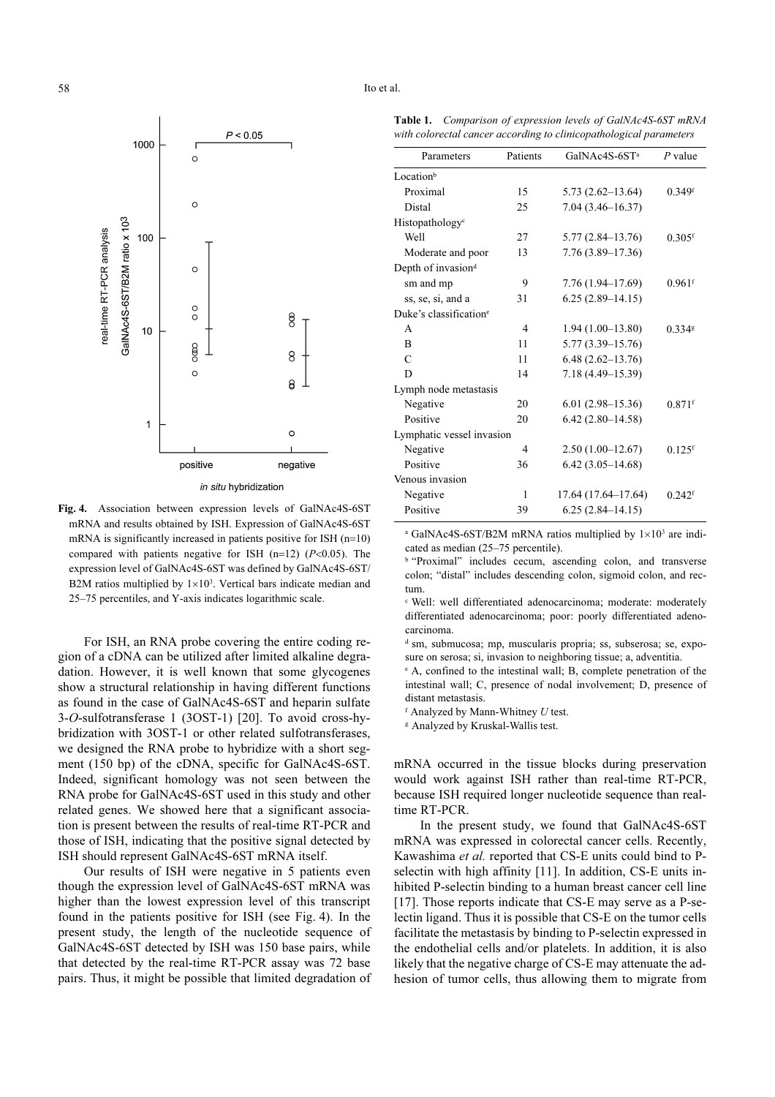

Fig. 4. Association between expression levels of GalNAc4S-6ST mRNA and results obtained by ISH. Expression of GalNAc4S-6ST mRNA is significantly increased in patients positive for ISH  $(n=10)$ compared with patients negative for ISH (n=12) ( $P<0.05$ ). The expression level of GalNAc4S-6ST was defined by GalNAc4S-6ST/ B2M ratios multiplied by  $1 \times 10^3$ . Vertical bars indicate median and 25–75 percentiles, and Y-axis indicates logarithmic scale.

For ISH, an RNA probe covering the entire coding region of a cDNA can be utilized after limited alkaline degradation. However, it is well known that some glycogenes show a structural relationship in having different functions as found in the case of GalNAc4S-6ST and heparin sulfate 3-O-sulfotransferase 1 (3OST-1) [20]. To avoid cross-hybridization with 3OST-1 or other related sulfotransferases, we designed the RNA probe to hybridize with a short segment (150 bp) of the cDNA, specific for GalNAc4S-6ST. Indeed, significant homology was not seen between the RNA probe for GalNAc4S-6ST used in this study and other related genes. We showed here that a significant association is present between the results of real-time RT-PCR and those of ISH, indicating that the positive signal detected by ISH should represent GalNAc4S-6ST mRNA itself.

Our results of ISH were negative in 5 patients even though the expression level of GalNAc4S-6ST mRNA was higher than the lowest expression level of this transcript found in the patients positive for ISH (see Fig. 4). In the present study, the length of the nucleotide sequence of GalNAc4S-6ST detected by ISH was 150 base pairs, while that detected by the real-time RT-PCR assay was 72 base pairs. Thus, it might be possible that limited degradation of

58 Ito et al.

Table 1. Comparison of expression levels of GalNAc4S-6ST mRNA with colorectal cancer according to clinicopathological parameters

| Parameters                         | Patients       | GalNAc4S-6ST <sup>a</sup> | $P$ value            |
|------------------------------------|----------------|---------------------------|----------------------|
| Locationb                          |                |                           |                      |
| Proximal                           | 15             | $5.73(2.62 - 13.64)$      | $0.349$ <sup>f</sup> |
| Distal                             | 25             | 7.04 (3.46-16.37)         |                      |
| Histopathology <sup>c</sup>        |                |                           |                      |
| Well                               | 27             | $5.77(2.84 - 13.76)$      | $0.305$ <sup>f</sup> |
| Moderate and poor                  | 13             | 7.76 (3.89-17.36)         |                      |
| Depth of invasion <sup>d</sup>     |                |                           |                      |
| sm and mp                          | 9              | 7.76 (1.94–17.69)         | $0.961$ <sup>f</sup> |
| ss, se, si, and a                  | 31             | $6.25(2.89-14.15)$        |                      |
| Duke's classification <sup>e</sup> |                |                           |                      |
| $\mathsf{A}$                       | $\overline{4}$ | $1.94(1.00-13.80)$        | $0.334$ g            |
| B                                  | 11             | $5.77(3.39 - 15.76)$      |                      |
| $\mathcal{C}$                      | 11             | $6.48(2.62 - 13.76)$      |                      |
| D                                  | 14             | 7.18 (4.49-15.39)         |                      |
| Lymph node metastasis              |                |                           |                      |
| Negative                           | 20             | $6.01(2.98-15.36)$        | $0.871$ <sup>f</sup> |
| Positive                           | 20             | $6.42(2.80 - 14.58)$      |                      |
| Lymphatic vessel invasion          |                |                           |                      |
| Negative                           | 4              | $2.50(1.00-12.67)$        | $0.125$ <sup>f</sup> |
| Positive                           | 36             | $6.42(3.05-14.68)$        |                      |
| Venous invasion                    |                |                           |                      |
| Negative                           | 1              | 17.64 (17.64–17.64)       | $0.242$ <sup>f</sup> |
| Positive                           | 39             | $6.25(2.84-14.15)$        |                      |

<sup>a</sup> GalNAc4S-6ST/B2M mRNA ratios multiplied by  $1 \times 10^3$  are indicated as median (25–75 percentile).

**b** "Proximal" includes cecum, ascending colon, and transverse colon; "distal" includes descending colon, sigmoid colon, and rectum.

<sup>c</sup> Well: well differentiated adenocarcinoma; moderate: moderately differentiated adenocarcinoma; poor: poorly differentiated adenocarcinoma.

<sup>d</sup> sm, submucosa; mp, muscularis propria; ss, subserosa; se, exposure on serosa; si, invasion to neighboring tissue; a, adventitia.

<sup>e</sup> A, confined to the intestinal wall; B, complete penetration of the intestinal wall; C, presence of nodal involvement; D, presence of distant metastasis.

 $f$  Analyzed by Mann-Whitney  $U$  test.

<sup>g</sup> Analyzed by Kruskal-Wallis test.

mRNA occurred in the tissue blocks during preservation would work against ISH rather than real-time RT-PCR, because ISH required longer nucleotide sequence than realtime RT-PCR.

In the present study, we found that GalNAc4S-6ST mRNA was expressed in colorectal cancer cells. Recently, Kawashima et al. reported that CS-E units could bind to Pselectin with high affinity [11]. In addition, CS-E units inhibited P-selectin binding to a human breast cancer cell line [17]. Those reports indicate that CS-E may serve as a P-selectin ligand. Thus it is possible that CS-E on the tumor cells facilitate the metastasis by binding to P-selectin expressed in the endothelial cells and/or platelets. In addition, it is also likely that the negative charge of CS-E may attenuate the adhesion of tumor cells, thus allowing them to migrate from